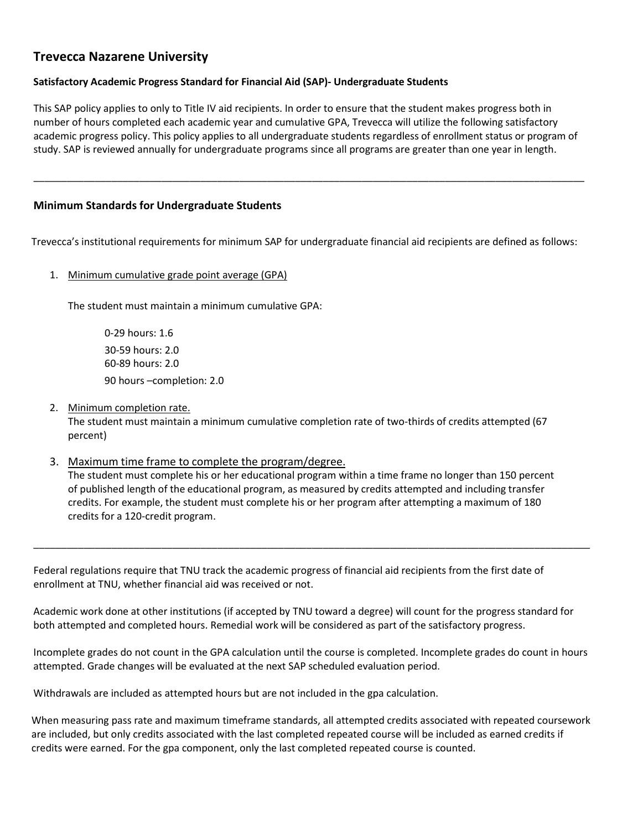# **Trevecca Nazarene University**

## **Satisfactory Academic Progress Standard for Financial Aid (SAP)- Undergraduate Students**

This SAP policy applies to only to Title IV aid recipients. In order to ensure that the student makes progress both in number of hours completed each academic year and cumulative GPA, Trevecca will utilize the following satisfactory academic progress policy. This policy applies to all undergraduate students regardless of enrollment status or program of study. SAP is reviewed annually for undergraduate programs since all programs are greater than one year in length.

\_\_\_\_\_\_\_\_\_\_\_\_\_\_\_\_\_\_\_\_\_\_\_\_\_\_\_\_\_\_\_\_\_\_\_\_\_\_\_\_\_\_\_\_\_\_\_\_\_\_\_\_\_\_\_\_\_\_\_\_\_\_\_\_\_\_\_\_\_\_\_\_\_\_\_\_\_\_\_\_\_\_\_\_\_\_\_\_\_\_\_\_\_\_\_\_\_\_\_

## **Minimum Standards for Undergraduate Students**

Trevecca's institutional requirements for minimum SAP for undergraduate financial aid recipients are defined as follows:

1. Minimum cumulative grade point average (GPA)

The student must maintain a minimum cumulative GPA:

0-29 hours: 1.6 30-59 hours: 2.0 60-89 hours: 2.0 90 hours –completion: 2.0

2. Minimum completion rate.

The student must maintain a minimum cumulative completion rate of two-thirds of credits attempted (67 percent)

3. Maximum time frame to complete the program/degree.

The student must complete his or her educational program within a time frame no longer than 150 percent of published length of the educational program, as measured by credits attempted and including transfer credits. For example, the student must complete his or her program after attempting a maximum of 180 credits for a 120-credit program.

\_\_\_\_\_\_\_\_\_\_\_\_\_\_\_\_\_\_\_\_\_\_\_\_\_\_\_\_\_\_\_\_\_\_\_\_\_\_\_\_\_\_\_\_\_\_\_\_\_\_\_\_\_\_\_\_\_\_\_\_\_\_\_\_\_\_\_\_\_\_\_\_\_\_\_\_\_\_\_\_\_\_\_\_\_\_\_\_\_\_\_\_\_\_\_\_\_\_\_\_

Federal regulations require that TNU track the academic progress of financial aid recipients from the first date of enrollment at TNU, whether financial aid was received or not.

Academic work done at other institutions (if accepted by TNU toward a degree) will count for the progress standard for both attempted and completed hours. Remedial work will be considered as part of the satisfactory progress.

Incomplete grades do not count in the GPA calculation until the course is completed. Incomplete grades do count in hours attempted. Grade changes will be evaluated at the next SAP scheduled evaluation period.

Withdrawals are included as attempted hours but are not included in the gpa calculation.

When measuring pass rate and maximum timeframe standards, all attempted credits associated with repeated coursework are included, but only credits associated with the last completed repeated course will be included as earned credits if credits were earned. For the gpa component, only the last completed repeated course is counted.